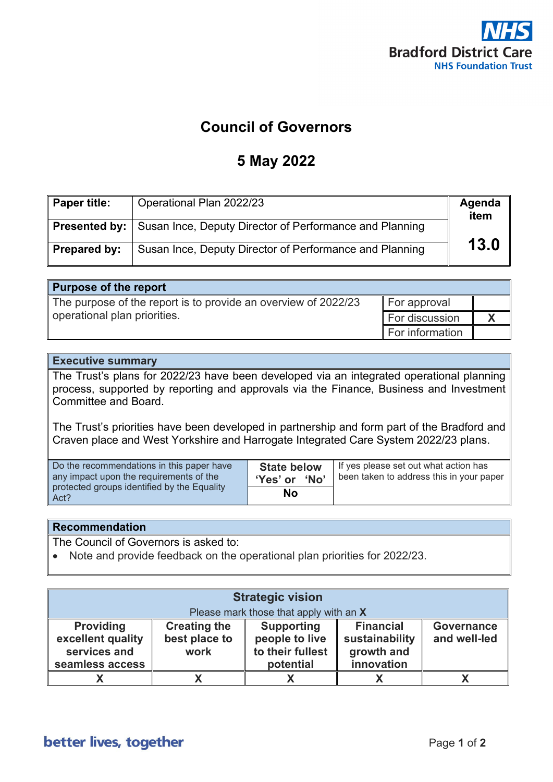

### **Council of Governors**

#### **5 May 2022**

| Paper title: | Operational Plan 2022/23                                                     | Agenda<br>item |
|--------------|------------------------------------------------------------------------------|----------------|
|              | <b>Presented by:</b> Susan Ince, Deputy Director of Performance and Planning |                |
| Prepared by: | Susan Ince, Deputy Director of Performance and Planning                      | 13.0           |

#### **Purpose of the report**

The purpose of the report is to provide an overview of 2022/23 operational plan priorities. For approval For discussion **X** For information

#### **Executive summary**

The Trust's plans for 2022/23 have been developed via an integrated operational planning process, supported by reporting and approvals via the Finance, Business and Investment Committee and Board.

The Trust's priorities have been developed in partnership and form part of the Bradford and Craven place and West Yorkshire and Harrogate Integrated Care System 2022/23 plans.

| Do the recommendations in this paper have           | <b>State below</b> | If yes please set out what action has    |
|-----------------------------------------------------|--------------------|------------------------------------------|
| any impact upon the requirements of the             | 'Yes' or 'No'      | been taken to address this in your paper |
| protected groups identified by the Equality<br>Act? | No                 |                                          |

#### **Recommendation**

The Council of Governors is asked to:

• Note and provide feedback on the operational plan priorities for 2022/23.

| <b>Strategic vision</b><br>Please mark those that apply with an X        |                                              |                                                                      |                                                                |                                   |
|--------------------------------------------------------------------------|----------------------------------------------|----------------------------------------------------------------------|----------------------------------------------------------------|-----------------------------------|
| <b>Providing</b><br>excellent quality<br>services and<br>seamless access | <b>Creating the</b><br>best place to<br>work | <b>Supporting</b><br>people to live<br>to their fullest<br>potential | <b>Financial</b><br>sustainability<br>growth and<br>innovation | <b>Governance</b><br>and well-led |
|                                                                          | Y                                            |                                                                      |                                                                |                                   |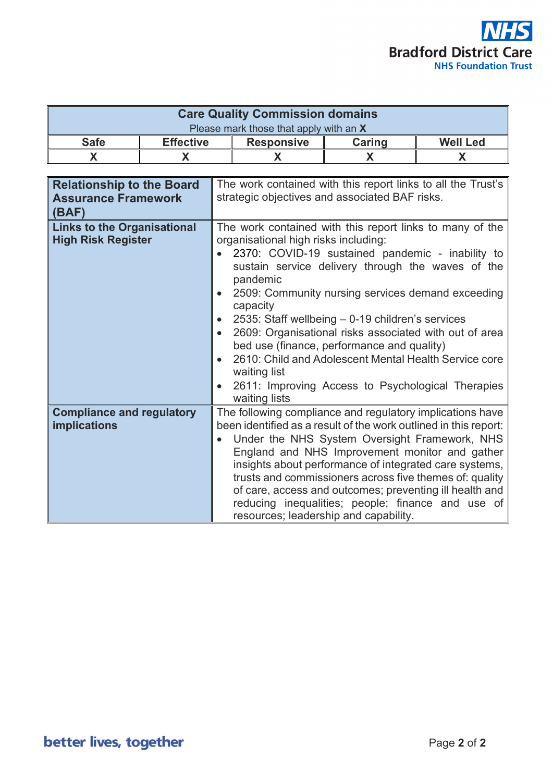

| <b>Care Quality Commission domains</b> |                  |                   |        |                 |
|----------------------------------------|------------------|-------------------|--------|-----------------|
| Please mark those that apply with an X |                  |                   |        |                 |
| <b>Safe</b>                            | <b>Effective</b> | <b>Responsive</b> | Caring | <b>Well Led</b> |
|                                        |                  |                   |        |                 |

| <b>Relationship to the Board</b><br><b>Assurance Framework</b><br>(BAF) | The work contained with this report links to all the Trust's<br>strategic objectives and associated BAF risks.                                                                                                                                                                                                                                                                                                                                                                                                                                                                                    |
|-------------------------------------------------------------------------|---------------------------------------------------------------------------------------------------------------------------------------------------------------------------------------------------------------------------------------------------------------------------------------------------------------------------------------------------------------------------------------------------------------------------------------------------------------------------------------------------------------------------------------------------------------------------------------------------|
| <b>Links to the Organisational</b><br><b>High Risk Register</b>         | The work contained with this report links to many of the<br>organisational high risks including:<br>2370: COVID-19 sustained pandemic - inability to<br>sustain service delivery through the waves of the<br>pandemic<br>2509: Community nursing services demand exceeding<br>capacity<br>2535: Staff wellbeing – 0-19 children's services<br>2609: Organisational risks associated with out of area<br>bed use (finance, performance and quality)<br>2610: Child and Adolescent Mental Health Service core<br>waiting list<br>2611: Improving Access to Psychological Therapies<br>waiting lists |
| <b>Compliance and regulatory</b><br>implications                        | The following compliance and regulatory implications have<br>been identified as a result of the work outlined in this report:<br>Under the NHS System Oversight Framework, NHS<br>England and NHS Improvement monitor and gather<br>insights about performance of integrated care systems,<br>trusts and commissioners across five themes of: quality<br>of care, access and outcomes; preventing ill health and<br>reducing inequalities; people; finance and use of<br>resources; leadership and capability.                                                                                    |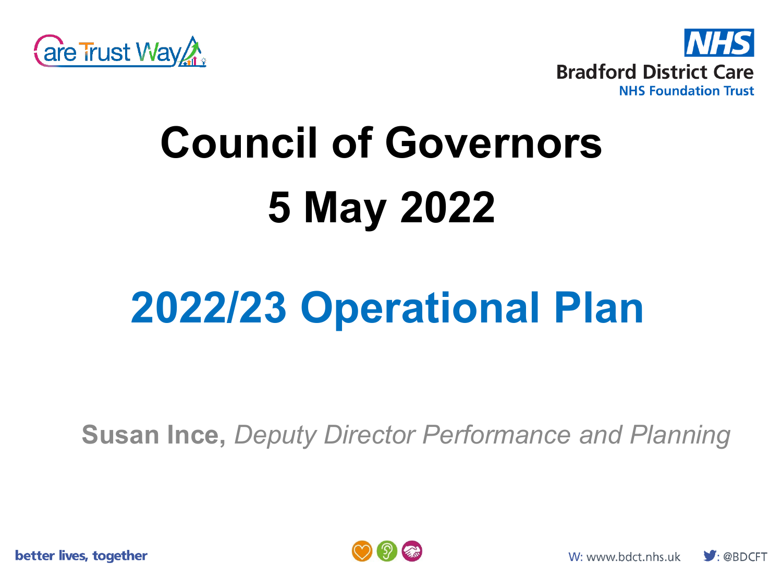



# **Council of Governors 5 May 2022**

# **2022/23 Operational Plan**

**Susan Ince,** *Deputy Director Performance and Planning*

better lives, together



 $\bigtriangledown$ : @BDCFT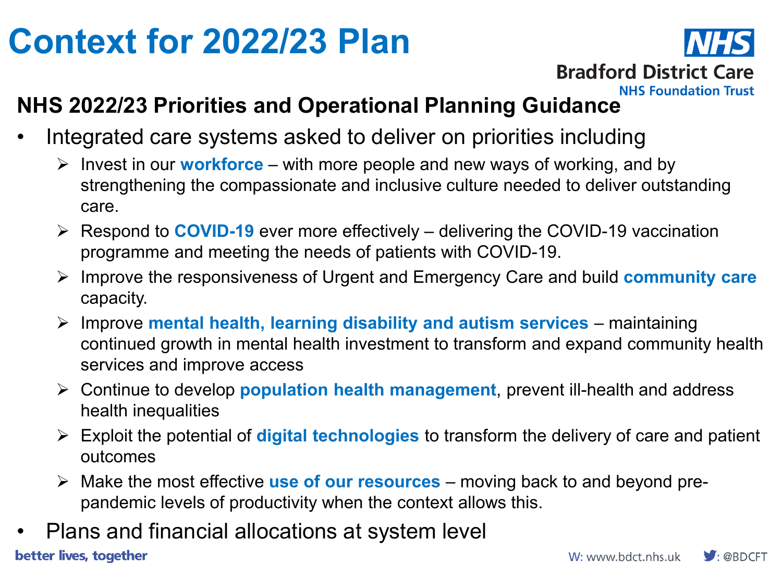## **Context for 2022/23 Plan**



### **NHS 2022/23 Priorities and Operational Planning Guidance**

- Integrated care systems asked to deliver on priorities including
	- $\triangleright$  Invest in our **workforce** with more people and new ways of working, and by strengthening the compassionate and inclusive culture needed to deliver outstanding care.
	- Respond to **COVID-19** ever more effectively delivering the COVID-19 vaccination programme and meeting the needs of patients with COVID-19.
	- Improve the responsiveness of Urgent and Emergency Care and build **community care**  capacity.
	- Improve **mental health, learning disability and autism services**  maintaining continued growth in mental health investment to transform and expand community health services and improve access
	- Continue to develop **population health management**, prevent ill-health and address health inequalities
	- Exploit the potential of **digital technologies** to transform the delivery of care and patient outcomes
	- Make the most effective **use of our resources**  moving back to and beyond prepandemic levels of productivity when the context allows this.
- Plans and financial allocations at system level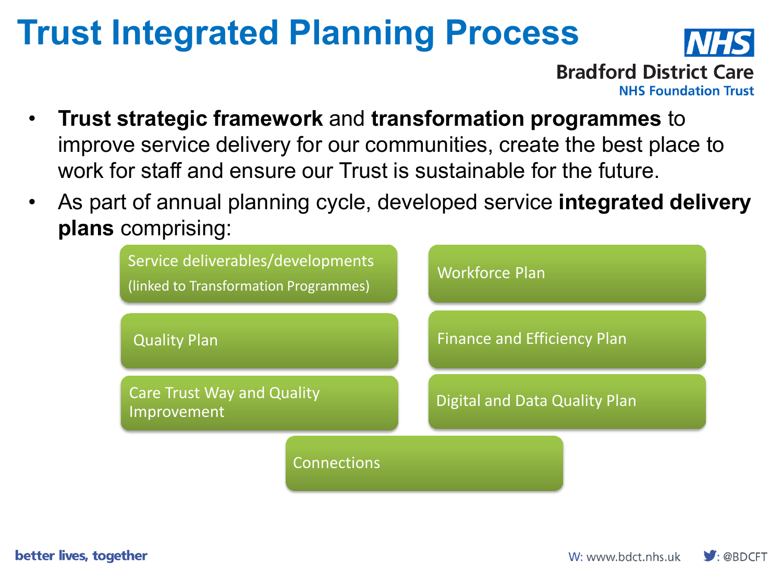## **Trust Integrated Planning Process**



- **Trust strategic framework** and **transformation programmes** to improve service delivery for our communities, create the best place to work for staff and ensure our Trust is sustainable for the future.
- As part of annual planning cycle, developed service **integrated delivery plans** comprising:



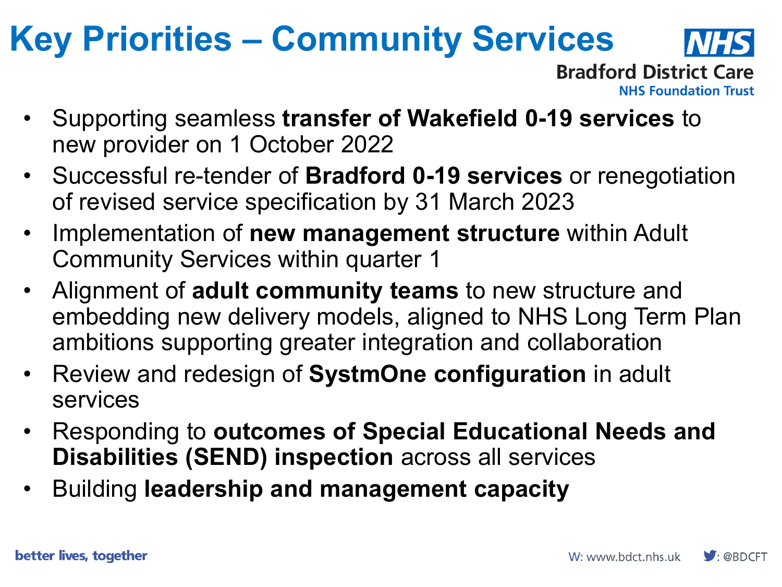# **Key Priorities – Community Services**



**Bradford District Care NHS Foundation Trust** 

- Supporting seamless **transfer of Wakefield 0-19 services** to new provider on 1 October 2022
- Successful re-tender of **Bradford 0-19 services** or renegotiation of revised service specification by 31 March 2023
- Implementation of **new management structure** within Adult Community Services within quarter 1
- Alignment of **adult community teams** to new structure and embedding new delivery models, aligned to NHS Long Term Plan ambitions supporting greater integration and collaboration
- Review and redesign of **SystmOne configuration** in adult services
- Responding to **outcomes of Special Educational Needs and Disabilities (SEND) inspection** across all services
- Building **leadership and management capacity**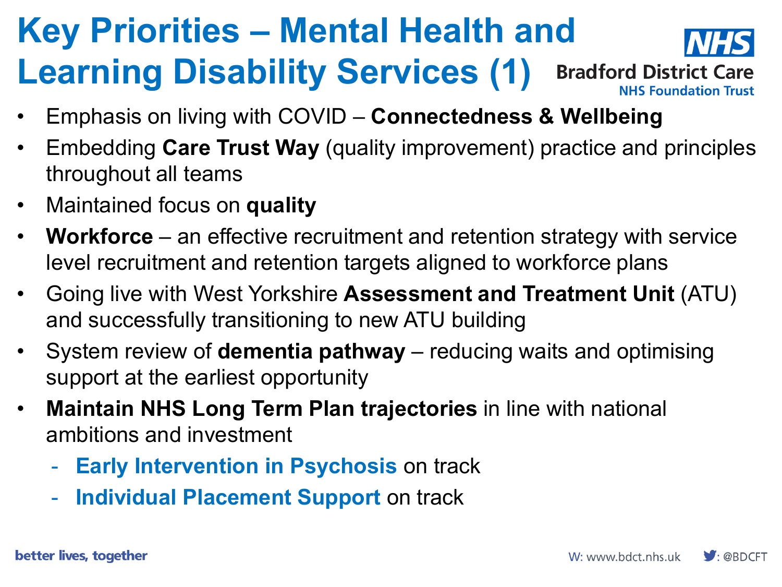### **Key Priorities – Mental Health and Learning Disability Services (1) Bradford District Care NHS Foundation Trust**

- Emphasis on living with COVID **Connectedness & Wellbeing**
- Embedding **Care Trust Way** (quality improvement) practice and principles throughout all teams
- Maintained focus on **quality**
- **Workforce** an effective recruitment and retention strategy with service level recruitment and retention targets aligned to workforce plans
- Going live with West Yorkshire **Assessment and Treatment Unit** (ATU) and successfully transitioning to new ATU building
- System review of **dementia pathway**  reducing waits and optimising support at the earliest opportunity
- **Maintain NHS Long Term Plan trajectories** in line with national ambitions and investment
	- **Early Intervention in Psychosis** on track
	- **Individual Placement Support** on track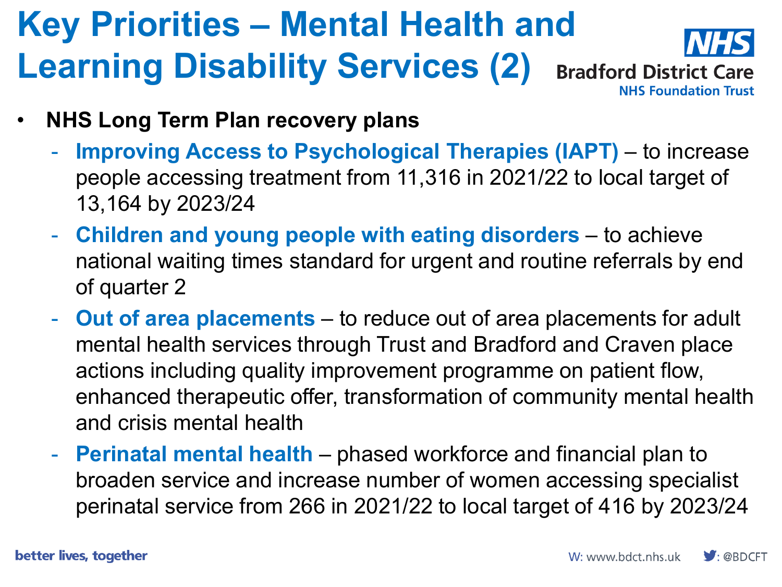### **Key Priorities – Mental Health and Learning Disability Services (2) Bradford District Care NHS Foundation Trust**

- **NHS Long Term Plan recovery plans**
	- **Improving Access to Psychological Therapies (IAPT)**  to increase people accessing treatment from 11,316 in 2021/22 to local target of 13,164 by 2023/24
	- **Children and young people with eating disorders**  to achieve national waiting times standard for urgent and routine referrals by end of quarter 2
	- **Out of area placements**  to reduce out of area placements for adult mental health services through Trust and Bradford and Craven place actions including quality improvement programme on patient flow, enhanced therapeutic offer, transformation of community mental health and crisis mental health
	- **Perinatal mental health**  phased workforce and financial plan to broaden service and increase number of women accessing specialist perinatal service from 266 in 2021/22 to local target of 416 by 2023/24